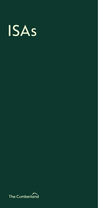

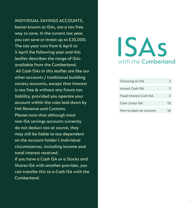INDIVIDUAL SAVINGS ACCOUNTS, better known as ISAs, are a tax free way to save. In the current tax year, you can save or invest up to £20,000. The tax year runs from 6 April to 5 April the following year and this leaflet describes the range of ISAs available from the Cumberland. All Cash ISAs in this leaflet are like our other accounts / traditional building society accounts, except that interest is tax free & without any future tax liability, provided you operate your account within the rules laid down by HM Revenue and Customs. Please note that although most non-ISA savings accounts currently do not deduct tax at source, they may still be liable to tax dependent on the account holder's individual circumstances, including income and total interest received. If you have a Cash ISA or a Stocks and Shares ISA with another provider, you can transfer this to a Cash ISA with the Cumberland.

# with the **Cumberland** ISAs

| Choosing an ISA                |    |
|--------------------------------|----|
| Instant Cash ISA               | 3  |
| <b>Fixed Interest Cash ISA</b> |    |
| Cash Junior ISA                | 10 |
| How to open an account         | 16 |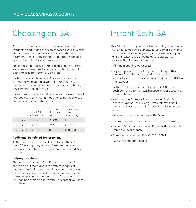### Choosing an ISA Instant Cash ISA

An ISA is a tax-efficient way to save or invest. UK residents aged 16 and over can choose to save in a cash ISA or if they are 18 or over, a stocks and shares ISA or a combination of both. Parents or guardians can also open a Junior ISA for children under 18.

The interest on a cash ISA isn't taxed so all the interest you earn you keep. With a stocks and shares ISA, all gains are free from capital gains tax.

Each tax year you have an ISA allowance. For the current tax year your allowance is £20,000. This amount can be held in either cash, stocks and shares, or any combination of the two.

Take a look at the table below to see some examples of how you could split your ISA allowance between a cash ISA and a stocks and shares ISA.

|                     | Total ISA<br>allowance | Cash ISA<br>allowance<br>used | Stocks &<br>Shares ISA<br>allowance<br>remaining |
|---------------------|------------------------|-------------------------------|--------------------------------------------------|
| Example 1           | £20,000                | £20,000                       | £Ω                                               |
| Example $2$ £20,000 |                        | £7,120                        | £12,880                                          |
| Example $3$ £20,000 |                        | £Ο                            | £20,000                                          |

#### **Additional Permitted Subscriptions**

 In the event of death of an ISA customer, the value of their ISA savings may be transferred to their spouse / civil partner if they are an existing Cumberland ISA customer.

#### **Helping you choose**

This leaflet details our Cash ISA products. If you'd like to find out more about the different types of ISA available, including the annual investment limits and the suitability of a particular product for you, please make an appointment at your local Cumberland branch (you can book this on our website), or contact your local tax office.

This ISA is for you if you'd like the flexibility of funding it with either lump sum payments & /or regular payments. It also means in an emergency / unforeseen event you have the reassurance of being able to access your money without notice or penalty.

- Minimum opening balance £1
- Pay into your account at any time, as long as this is the only Cash ISA you are paying into during the tax year, subject to total maximum deposits of £20,000 in the tax year
- Withdrawals, without penalty, up to £500 in cash each day, or up to the total balance in your account by crossed cheque
- You may transfer funds from an Instant Cash ISA to another type of Cash ISA e.g. Fixed Interest Cash ISA, provided only one Cash ISA is paid into during a tax year

Variable interest paid yearly on 31st March.

For current interest rates please refer to the following:

- Savings Accounts and Interest Rates leaflet available from your local branch
- Customer services helpline: 01228 403141
- Website: cumberland.co.uk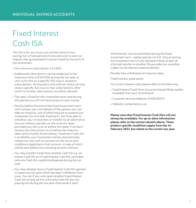# Fixed Interest Cash ISA

This ISA is for you if you can commit some of your savings for a fixed period of time and wish to earn an interest rate guaranteed to remain fixed for the term of the investment.

- The minimum subscription is £1,000.
- Additional subscriptions can be made (up to the maximum limit of £20,000) during the tax year or until such time as a specific ISA issue is closed to subscriptions. At any point and without notice we may close a specific ISA issue to new subscriptions, after which no further subscriptions would be allowed.
- The rate is fixed for the investment term and during this period you will not have access to your money
- Shortly before the end of the fixed investment term we'll contact you with details of the options you can take on maturity, one of which may be to extend your investment for a further fixed term. You'll be able to withdraw your investment or transfer to an alternative account without penalty on the maturity date, provided you tell us on or before this date. If we don't receive any instructions on or before the maturity date, and a further fixed interest, fixed term Cash ISA is available, your investment will be automatically rolled over into such an account on the terms and conditions applying to that account, a copy of which will be sent before your existing account matures.
- You may transfer funds from another Cash ISA e.g. an Instant Cash ISA to a Fixed Interest Cash ISA, provided only one Cash ISA is paid into/opened during the tax year.
- You may already have a Fixed Interest Cash ISA opened in a previous tax year which has been withdrawn from issue. You can if you wish open another Fixed Interest Cash ISA as long as this is the only Cash ISA you are paying into during the tax year which ends 5 April.

Withdrawals, are not permitted during the fixed investment term , neither partial nor full. Closure during the investment term is only allowed if done as part of a formal transfer to another ISA provider but would be subject to the relevant interest penalty.

Penalty free withdrawal on maturity date.

Fixed interest, paid yearly

For current interest rates please refer to the following:

- Fixed Interest Fixed Term Accounts Interest Rates leaflet available from your local branch
- Customer services helpline: 01228 403141
- Website: cumberland.co.uk

**Please note that Fixed Interest Cash ISAs will not always be available. For up-to-date information please refer to the contact details above. These product specific conditions apply from the 1st February 2022 but relate to the current tax year.**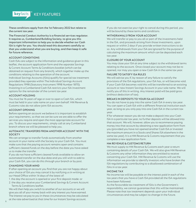

These conditions apply from the 1st February 2022 but relate to the current tax year.

The Financial Conduct Authority is a financial services regulator. It requires us, Cumberland Building Society, to give you this important information to help you to decide whether our Cash ISA is right for you. You should read this document carefully so that you understand what you are buying, and then keep it safe for future reference.

#### ACCOUNT CONDITIONS

Cash ISAs are subject to the information and guidance given in this leaflet, the account application form and the separate Savings & Current Account Terms & Conditions booklet (which can be obtained on request from any branch), which together make up the conditions relating to the operation of the account.

Individual Savings Accounts (ISAs) qualify for special tax treatment provided they operate within The Individual Savings Account Regulations 1998 (Statutory Instrument 1998 Number 1870). Investing in a Cumberland Cash ISA restricts your ISA investment options for the remainder of the current tax year.

#### ACCOUNT HOLDING

You must be 16 years of age or over to open a Cash ISA, which must be held in your sole name on your own behalf. HM Revenue & Customs rules do not allow joint ISA accounts.

#### ACCOUNT OPENING

Before opening an account we believe it is important to establish your requirements, so that we can be sure we are able to offer the services you require and open the most appropriate account for you. To discuss your requirements, simply call at any Cumberland branch where we will be pleased to help you.

#### AUTOMATIC TRANSFERS FROM ANOTHER ACCOUNT WITH THE **SOCIETY**

We can arrange to transfer funds automatically from another account in your name with the Society to your Cash ISA. You must make sure that the paying account remains open and contains sufficient cleared funds on the day before the date you have asked us to make the transfer.

If you do not have sufficient cleared funds available to allow an automated transfer on the due date and you still wish to add to your Cash ISA, you can do this through your branch or by post.

#### CHANGING YOUR MIND

If after opening an account you find that you are not happy about your choice of ISA you may cancel it by notifying us in writing at our Head Office within 14 days of the latest of:

- 1. the day the account is opened or your first deposit made: or
- 2. the day you receive your Cumberland Savings & Current Account Terms & Conditions leaflet.

We will then help you switch to another of our accounts or we will give you all of your money back with any interest you have earned. The interest we pay to you in these circumstances may be calculated at the rate advertised at that time for our Instant Savings account. And the rate of the rate of the rate advertised at that time  $\frac{1}{7}$ 

If you do not exercise your right to cancel during this period, you will be bound by these terms and conditions.

#### WITHDRAWALS FROM YOUR ACCOUNT

We will transfer or pay to you all or part of the investments held in the ISA, and proceeds arising from those investments, upon request or within 2 days if you provide written instructions to do so. Any withdrawals from your ISA are ignored for the purpose of calculating the maximum amount which can be deposited each tax year.

#### CLOSURE OF YOUR ACCOUNT

You may close your ISA at any time subject to the withdrawal terms relating to the account. Once closed your account may not be reopened, nor may you open a new Cash ISA in the same tax year.

#### FAILURE TO SATISFY ISA RULES

We will advise you if, by reason of any failure to satisfy the provisions of the ISA regulations, your ISA has, or will become void. If your Cash ISA becomes void this will be transferred to an existing account or new Instant Savings Account in your sole name. We will notify you of this in writing. Any interest paid will be paid gross (without deduction of tax).

#### BREAKS IN DEPOSITS TO YOUR ISA ACCOUNT

You do not have to pay into the same Cash ISA in every tax year. You can open a Cash ISA with a different financial institution each year, as long as you only pay into one Cash ISA in the current tax year.

If for whatever reason you do not make a deposit into your Cash ISA in a particular tax year, no further deposits will be allowed into that account. We will, however, allow you to recommence paying money into that account by obtaining a new application form from you (provided you have not opened another Cash ISA or invested the maximum amount in a Stocks and Shares ISA elsewhere in the same tax year). It is a HM Revenue & Customs requirement that you complete a new application form.

#### HM REVENUE & CUSTOMS RETURN

We must supply to HM Revenue & Customs each year a return containing details of your Cash ISA. We will also give HM Revenue & Customs any other information they are entitled to receive concerning your Cash ISA. HM Revenue & Customs will use the information we provide to identify investors who have broken the ISA regulations by contributing to a disallowed combination of ISAs in a tax year.

#### INCOME TAX

No income tax will be payable on the interest paid in each of the tax years that you have a Cash ISA provided all the ISA regulations have been followed.

As the favourable tax treatment of ISAs is the Government's responsibility, we cannot guarantee that this will be maintained. Please note that tax treatment depends upon your individual circumstances and may be subject to change in the future.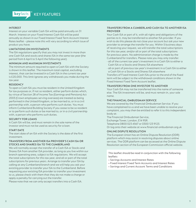#### INTEREST

Interest on your variable Cash ISA will be paid annually on 31 March. Interest on your Fixed Interest Cash ISA will be paid annually as shown in our Fixed Interest Fixed Term Account Interest Rates leaflet – please note this will vary according to which issue of product you have.

#### LIMITATIONS ON INVESTMENTS

The ISA regulations specify that you may not invest in more than one Cash ISA and stocks and shares ISA in the same tax year (the period from 6 April to 5 April the following year).

#### MINIMUM AND MAXIMUM INVESTMENTS

The minimum amount required to open a Cash ISA with the Society is shown in this leaflet. The maximum total capital, excluding interest, that can be invested in a Cash ISA in the current tax year is £20,000. This limit ignores any withdrawals you make during the tax year.

#### RESIDENCY

To open a Cash ISA you must be resident in the United Kingdom for tax purposes or, if not so resident, either perform duties which, by virtue of Section 28 of Income Tax (Earnings and Pensions) Act 2003 (Crown employees serving overseas) are treated as being performed in the United Kingdom, or be married to, or in a civil partnership with, a person who performs such duties. You must inform Cumberland Building Society if you cease to be so resident or to perform such duties or be married to, or in a civil partnership with, a person who performs such duties.

#### SECURITY FOR LOANS

A Cash ISA will be, and must remain in the sole name of the investor and must not be used as security for a loan.

#### START DATE

The start date of an ISA with the Society is the date of the first investment.

#### TRANSFERS FROM ANOTHER ISA PROVIDER'S CASH ISA OR STOCKS AND SHARES ISA TO THE CUMBERLAND

We will normally accept the transfer of a Cash ISA or Stocks and Shares ISA from another ISA provider, as long as you live within our branch operating area, subject to ISA regulations. We will accept the total subscriptions for this tax year, and all or part of the total subscriptions for previous years. Arrange to transfer your ISA by calling at any Cumberland branch and we will help you ask your existing provider to transfer your ISA to the Cumberland. Before requesting your existing ISA provider to transfer your investment to us, please check with them that they do not make a charge or apply a penalty for carrying out the transfer.

Please note that we can only accept transfers into a Cash ISA.

#### TRANSFERS FROM A CUMBERLAND CASH ISA TO ANOTHER ISA PROVIDER

Your Cash ISA or part of it, with all rights and obligations of the parties to it, may be transferred to another ISA provider. If you wish to do this please do not close your account but ask your new provider to arrange the transfer for you. Within 5 business days of receiving your request, we will transfer the total subscriptions for this tax year, and/or all or part of the total subscriptions for previous years. No administration charge is made by the Cumberland for transfers. Please note you may only transfer:

- all of the current tax year's investment in a Cash ISA to either a Cash ISA or a Stocks and Shares ISA elsewhere

- all or part of previous tax year's investment in a Cash ISA to either a Cash ISA or a Stocks and Shares ISA elsewhere

Transfers of Fixed Interest Cash ISAs prior to the end of the fixed term will be subject to the withdrawal conditions shown in the Fixed Interest Fixed Term Account leaflet.

#### TRANSFERS FROM ONE INVESTOR TO ANOTHER

Your Cash ISA may not be transferred into the name of someone else. The ISA investment will be, and must remain in, your sole name.

#### THE FINANCIAL OMBUDSMAN SERVICE

We are covered by the Financial Ombudsman Service. If you have complained to us and we have been unable to resolve your complaint, you may then be entitled to refer it to this independent body at:

The Financial Ombudsman Service,

Exchange Tower, London, E14 9SR.

Telephone 0800 023 4567 or 0300 123 9123.

Or log onto their website at www.financial-ombudsman.org.uk

#### ONLINE DISPUTE RESOLUTION

The European Union has an Online Dispute Resolution (ODR) platform which may assist in resolving disputes about online services. The ODR platform can be accessed at the Online Dispute Resolution section of the European Commission official website.

This leaflet should be read in conjunction with the following leaflets

- Savings Accounts and Interest Rates
- Fixed Interest Fixed Term Accounts and Interest Rates
- Savings and Current Account Terms and Conditions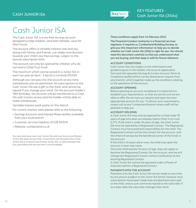KEY FEATURES - Cash Junior ISA (JISAs)

## Cash Junior ISA

The Cash Junior ISA is a tax-free savings account designed to help children, and their families, save for their future.

The account offers a variable interest rate and you, along with family and friends, can make contributions towards your child's tax-free savings, subject to the annual subscription limit.

The account can only be opened for children who do not hold a Child Trust Fund.

The maximum which can be saved in a Junior ISA in each tax year (6 April - 5 April) is currently £9,000.

Although you can pay into the account at any time, withdrawals are not permitted. All subscriptions to the Cash Junior ISA are a gift to the child, and cannot be repaid if you change your mind. On the account holder's 18th birthday, the account will be transferred to a Cash ISA with instant access and the holder will be able to make withdrawals.

Variable interest paid yearly on 31st March.

For current interest rates please refer to the following:

- Savings Accounts and Interest Rates leaflet available from your local branch
- Customer services helpline: 01228 403141
- Website: cumberland.co.uk

You can only have one Cash Junior ISA and one Stocks and Shares Junior ISA open at any time. Investments can be paid into a Cash Junior ISA or a Stocks and Shares Junior ISA, or split between the two, providing the annual limit is not exceeded.

These conditions apply from 1st February 2022.

The Financial Conduct Authority is a financial services regulator. It requires us, Cumberland Building Society, to give you this important information to help you to decide whether our Cash Junior ISA (JISA) is right for you. You should read this document carefully so that you understand what you are buying, and then keep it safe for future reference.

#### ACCOUNT CONDITIONS

Cash Junior ISAs are subject to the information and guidance given in this leaflet, the account application form and the separate Savings & Current Account Terms & Conditions leaflet (which can be obtained on request from any branch), which together make up the conditions relating to the operation of the account.

#### ACCOUNT OPENING

Before opening an account we believe it is important to establish your requirements, so that we can be sure we are able to offer the services you require and open the most appropriate account for you. To discuss your requirements, simply call at any Cumberland branch where staff will be pleased to help you.

#### ACCOUNT HOLDING

A Cash Junior ISA may only be opened for a child under 18 years of age who does not already hold a Child Trust Fund (CTF). If the child is under 16 years of age, the Cash Junior ISA must be opened by a Registered Contact. The Registered Contact must have parental responsibility for the child. The Registered Contact will be the contact for the account, and the child will always be the beneficial owner of the funds in the account.

If the child is 16 years old or over, the child may open the account in their sole name.

Once the child reaches 16 years of age, they can apply to become the Registered Contact for the account, and we will change the Registered Contact without notification to the existing Registered Contact.

A Cash Junior ISA cannot be operated under a Power of Attorney held for a Registered Contact.

#### PAYMENTS INTO THE ACCOUNT

Payments into the Cash Junior ISA can be made at any time, by any person (subject to the Junior ISA limits), however once subscriptions have been made they are deemed to be a gift to the child, and as such cannot be repaid to the subscriber if at a later date the subscriber changes their mind.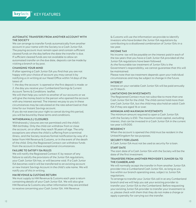

#### AUTOMATIC TRANSFERS FROM ANOTHER ACCOUNT WITH THE SOCIETY

We can arrange to transfer funds automatically from another account in your name with the Society to a Cash Junior ISA. The paying account must remain open and contain sufficient cleared funds on the day before the date the transfer is due. If sufficient cleared funds are not available to allow an automated transfer on the due date, deposits can be made by visiting a branch or by post.

#### CHANGING YOUR MIND

If after opening a Cash Junior ISA you find that you are not happy with your choice of account you may cancel it by notifying us in writing at our Head Office within 14 days of the latest of:

1. the day the account is opened or the first deposit is made: or 2. the day you receive your Cumberland Savings & Current Account Terms & Conditions leaflet.

We will then help you switch to another of our accounts or we will give the money back to the person who opened the account with any interest earned. The interest we pay to you in these circumstances may be calculated at the rate advertised at that time for our Instant Savings account.

If you do not exercise your right to cancel during this period, you will be bound by these terms and conditions.

#### WITHDRAWALS / CLOSURES

Withdrawals / closures are not permitted until the child's 18th birthday. Only the child can withdraw from or close the account, on or after they reach 18 years of age. The only exceptions are where the child is suffering from a terminal illness, and the Society receives formal notification by way of a letter from HM Revenue & Customs, or in the event of the death of the child. Only the Registered Contact can withdraw funds from the account in these exceptional circumstances.

#### FAILURE TO SATISFY ISA RULES

We will notify the Registered Contact if, by reason of any failure to satisfy the provisions of the Junior ISA regulations, your Cash Junior ISA has, or will become void. If a Cash Junior ISA becomes void it will be transferred to an existing account or new Instant Savings Account in the child's sole name. We will notify you of this in writing.

#### HM REVENUE & CUSTOMS RETURN

We must supply to HM Revenue & Customs each year a return containing details of your Cash Junior ISA. We will also give HM Revenue & Customs any other information they are entitled to receive concerning your Cash Junior ISA. HM Revenue

& Customs will use the information we provide to identify investors who have broken the Junior ISA regulations by contributing to a disallowed combination of Junior ISAs in a tax year.

#### INCOME TAX

No income tax will be payable on the interest paid in each of the tax years that you have a Cash Junior ISA provided all the Junior ISA regulations have been followed.

As the favourable tax treatment of Junior ISAs is the Government's responsibility, we cannot guarantee that this will be maintained.

Please note that tax treatment depends upon your individual circumstances and may be subject to change in the future.

#### INTEREST

Interest on your variable Cash Junior ISA will be paid annually on 31 March.

#### LIMITATIONS ON INVESTMENTS

The Registered Contact must not subscribe to more than one Cash Junior ISA for the child. The child cannot hold more than one Cash Junior ISA, but the child may also hold an adult Cash ISA if they are aged 16 or over.

#### MINIMUM AND MAXIMUM INVESTMENTS

The minimum amount required to open a Cash Junior ISA with the Society is £50. The maximum total capital, excluding interest, that can be invested in a Cash Junior ISA in the current tax year is £9,000.

#### RESIDENCY

When the account is opened the child must be resident in the United Kingdom for tax purposes.

#### SECURITY FOR LOANS

A Cash Junior ISA must not be used as security for a loan.

#### START DATE

The start date of a Cash Junior ISA with the Society will be the date of the first investment.

#### TRANSFERS FROM ANOTHER PROVIDER'S JUNIOR ISA TO THE CUMBERLAND

We will normally accept the transfer in from another Junior ISA provider into a Cumberland Cash Junior ISA, as long as you live within our branch operating area, subject to Junior ISA regulations.

To arrange to transfer your Junior ISA call in at any Cumberland branch and we will help you ask your existing provider to transfer your Junior ISA to the Cumberland. Before requesting your existing Junior ISA provider to transfer your investment to us, please check with them that they do not make a charge or apply a penalty for carrying out the transfer.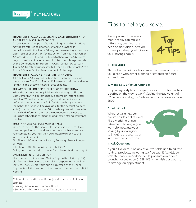

#### TRANSFERS FROM A CUMBERLAND CASH JUNIOR ISA TO ANOTHER JUNIOR ISA PROVIDER

A Cash Junior ISA or part of it, with all rights and obligations may be transferred to another Junior ISA provider, in accordance with the Junior ISA regulations relating to transfers. Upon receipt of your transfer instruction from your new Junior ISA provider, we will send the funds to them within 5 business days of the date of receipt. No administration charge is made by the Cumberland for transfers. A Cash Junior ISA to Cash Junior ISA transfer must occur in full while a Cash Junior ISA to a Stocks & Shares Junior ISA may occur in full or in part

#### TRANSFERS FROM ONE INVESTOR TO ANOTHER

A Cash Junior ISA may not be transferred into the name of someone else. The Cash Junior ISA investment will be, and must remain in, the account holder's (child's) name.

#### THE ACCOUNT HOLDER'S (CHILD'S) 18TH BIRTHDAY

When the account holder (child) reaches the age of 18, the Cash Junior ISA will automatically become an instant access Cash ISA. We will write to the Registered Contact shortly before the account holder's (child's) 18th birthday to remind them that the funds will be available for the account holder's (child) to withdraw from their 18th birthday. We will also write to the child informing them of the account and the need to visit a branch with identification and their National Insurance Number.

#### THE FINANCIAL OMBUDSMAN SERVICE

We are covered by the Financial Ombudsman Service. If you have complained to us and we have been unable to resolve your complaint, you may then be entitled to refer it to this independent body at:

The Financial Ombudsman Service, Exchange Tower, London, E14 9SR.

Telephone 0800 023 4567 or 0300 123 9123.

Or log onto their website at www.financial-ombudsman.org.uk

#### ONLINE DISPUTE RESOLUTION

The European Union has an Online Dispute Resolution (ODR) platform which may assist in resolving disputes about online services. The ODR platform can be accessed at the Online Dispute Resolution section of the European Commission official website.

This leaflet should be read in conjunction with the following leaflets:

- Savings Accounts and Interest Rates
- Savings and Current Account Terms and Conditions

### Tips to help you save...

Saving even a little every month really can make a difference, but if you are in need of motivation, here are some tips to help you kick start your 'savings habit':



#### 1. Take Stock

Think about what may happen in the future, and how you'd cope with either planned or unforeseen future expenditure.

#### 2. Make Easy Lifestyle Changes

Do you regularly buy an expensive sandwich for lunch or a coffee on the way to work? Saving the equivalent of £2 per working day, for 1 whole year, could save you over £500!

#### 3. Set a Goal

Whether it's a new car, dream holiday or life event like a wedding or even retirement, having a goal will help motivate your saving by allowing you to imagine the security a lump sum could provide.



#### 4. Ask Questions

If you'd like details on any of our variable and fixed rate savings products, including tax free cash ISAs, visit our website www.cumberland.co.uk, pop into any of our branches or call us on 01228 403141, or visit our website to arrange an appointment.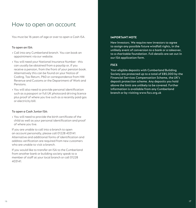### How to open an account

You must be 16 years of age or over to open a Cash ISA.

#### To open an ISA:

- Call into any Cumberland branch. You can book an appointment via our website.
- You will need your National Insurance Number this can usually be obtained from a payslip or, if you receive a pension, from the front of your pension book. Alternatively this can be found on your Notice of Coding, Tax Return, P60 or correspondence from HM Revenue and Customs or the Department of Work and Pensions.
- You will also need to provide personal identification such as a passport or full UK photocard driving licence plus proof of where you live such as a recently paid gas or electricity bill.

#### To open a Cash Junior ISA:

• You will need to provide the birth certificate of the child as well as your personal identification and proof of where you live.

If you are unable to call into a branch to open an account personally, please call 01228 403141. Alternative and additional forms of identification and address verification are required from new customers who are unable to visit a branch.

If you would like to transfer an ISA to the Cumberland from another bank or building society speak to a member of staff at your local branch or call 01228 403141.

#### **IMPORTANT NOTE**

New Investors. We require new investors to agree to assign any possible future windfall rights, in the unlikely event of conversion to a bank or a takeover, to a charitable foundation. Full details are set out in our ISA application form.

#### **FSCS**

Your eligible deposits with Cumberland Building Society are protected up to a total of £85,000 by the Financial Services Compensation Scheme, the UK's deposit protection scheme. Any deposits you hold above the limit are unlikely to be covered. Further information is available from any Cumberland branch or by visiting www.fscs.org.uk